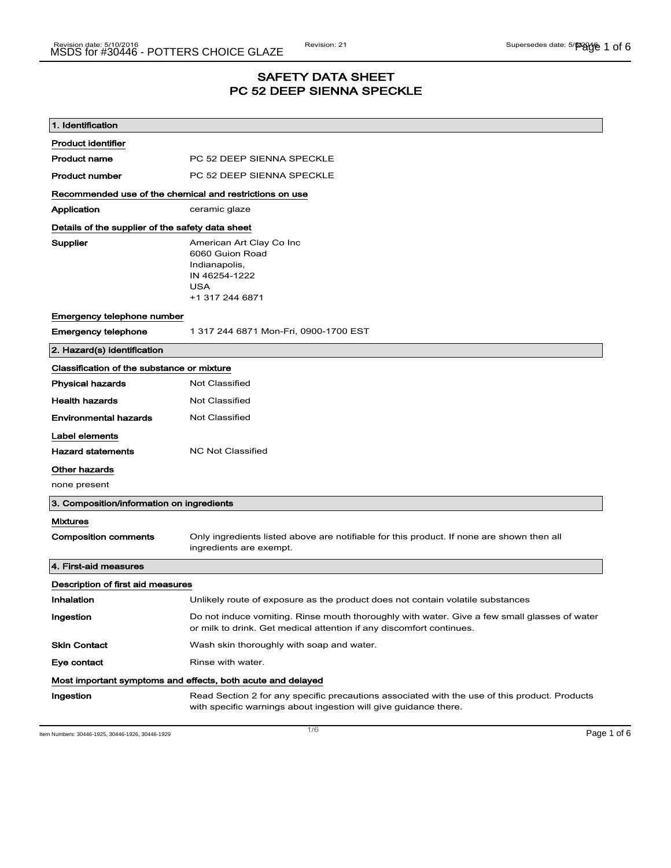# SAFETY DATA SHEET PC 52 DEEP SIENNA SPECKLE

| 1. Identification                                           |                                                                                                                                                                      |  |  |
|-------------------------------------------------------------|----------------------------------------------------------------------------------------------------------------------------------------------------------------------|--|--|
| <b>Product identifier</b>                                   |                                                                                                                                                                      |  |  |
| <b>Product name</b>                                         | PC 52 DEEP SIENNA SPECKLE                                                                                                                                            |  |  |
| <b>Product number</b>                                       | PC 52 DEEP SIENNA SPECKLE                                                                                                                                            |  |  |
| Recommended use of the chemical and restrictions on use     |                                                                                                                                                                      |  |  |
| Application                                                 | ceramic glaze                                                                                                                                                        |  |  |
| Details of the supplier of the safety data sheet            |                                                                                                                                                                      |  |  |
| Supplier                                                    | American Art Clay Co Inc<br>6060 Guion Road<br>Indianapolis,<br>IN 46254-1222<br><b>USA</b><br>+1 317 244 6871                                                       |  |  |
| Emergency telephone number                                  |                                                                                                                                                                      |  |  |
| <b>Emergency telephone</b>                                  | 1 317 244 6871 Mon-Fri, 0900-1700 EST                                                                                                                                |  |  |
| 2. Hazard(s) identification                                 |                                                                                                                                                                      |  |  |
| Classification of the substance or mixture                  |                                                                                                                                                                      |  |  |
| <b>Physical hazards</b>                                     | <b>Not Classified</b>                                                                                                                                                |  |  |
| <b>Health hazards</b>                                       | <b>Not Classified</b>                                                                                                                                                |  |  |
| <b>Environmental hazards</b>                                | Not Classified                                                                                                                                                       |  |  |
| Label elements                                              |                                                                                                                                                                      |  |  |
| <b>Hazard statements</b>                                    | <b>NC Not Classified</b>                                                                                                                                             |  |  |
| Other hazards                                               |                                                                                                                                                                      |  |  |
| none present                                                |                                                                                                                                                                      |  |  |
| 3. Composition/information on ingredients                   |                                                                                                                                                                      |  |  |
| <b>Mixtures</b>                                             |                                                                                                                                                                      |  |  |
| <b>Composition comments</b>                                 | Only ingredients listed above are notifiable for this product. If none are shown then all<br>ingredients are exempt.                                                 |  |  |
| 4. First-aid measures                                       |                                                                                                                                                                      |  |  |
| Description of first aid measures                           |                                                                                                                                                                      |  |  |
| Inhalation                                                  | Unlikely route of exposure as the product does not contain volatile substances                                                                                       |  |  |
| Ingestion                                                   | Do not induce vomiting. Rinse mouth thoroughly with water. Give a few small glasses of water<br>or milk to drink. Get medical attention if any discomfort continues. |  |  |
| <b>Skin Contact</b>                                         | Wash skin thoroughly with soap and water.                                                                                                                            |  |  |
| Eye contact                                                 | Rinse with water.                                                                                                                                                    |  |  |
| Most important symptoms and effects, both acute and delayed |                                                                                                                                                                      |  |  |
| Ingestion                                                   | Read Section 2 for any specific precautions associated with the use of this product. Products<br>with specific warnings about ingestion will give guidance there.    |  |  |

Item Numbers: 30446-1925, 30446-1926, 30446-1929 Page 1 of 6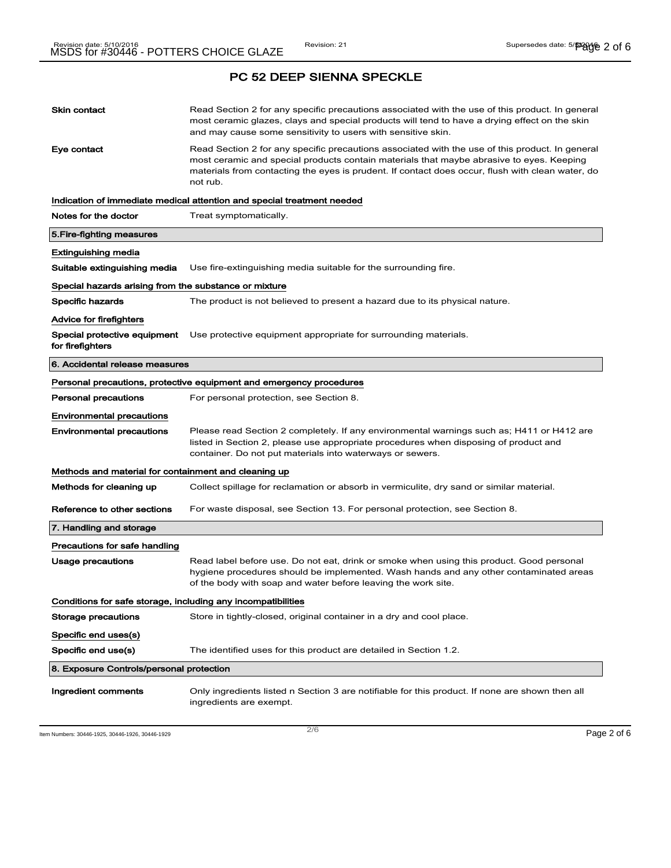| PC 52 DEEP SIENNA SPECKLE                                              |                                                                                                                                                                                                                                                                                                             |  |  |
|------------------------------------------------------------------------|-------------------------------------------------------------------------------------------------------------------------------------------------------------------------------------------------------------------------------------------------------------------------------------------------------------|--|--|
| <b>Skin contact</b>                                                    | Read Section 2 for any specific precautions associated with the use of this product. In general<br>most ceramic glazes, clays and special products will tend to have a drying effect on the skin<br>and may cause some sensitivity to users with sensitive skin.                                            |  |  |
| Eye contact                                                            | Read Section 2 for any specific precautions associated with the use of this product. In general<br>most ceramic and special products contain materials that maybe abrasive to eyes. Keeping<br>materials from contacting the eyes is prudent. If contact does occur, flush with clean water, do<br>not rub. |  |  |
| Indication of immediate medical attention and special treatment needed |                                                                                                                                                                                                                                                                                                             |  |  |
| Notes for the doctor                                                   | Treat symptomatically.                                                                                                                                                                                                                                                                                      |  |  |
| 5. Fire-fighting measures                                              |                                                                                                                                                                                                                                                                                                             |  |  |
| <b>Extinguishing media</b>                                             |                                                                                                                                                                                                                                                                                                             |  |  |
| Suitable extinguishing media                                           | Use fire-extinguishing media suitable for the surrounding fire.                                                                                                                                                                                                                                             |  |  |
| Special hazards arising from the substance or mixture                  |                                                                                                                                                                                                                                                                                                             |  |  |
| Specific hazards                                                       | The product is not believed to present a hazard due to its physical nature.                                                                                                                                                                                                                                 |  |  |
| Advice for firefighters                                                |                                                                                                                                                                                                                                                                                                             |  |  |
| for firefighters                                                       | <b>Special protective equipment</b> Use protective equipment appropriate for surrounding materials.                                                                                                                                                                                                         |  |  |
| 6. Accidental release measures                                         |                                                                                                                                                                                                                                                                                                             |  |  |
|                                                                        | Personal precautions, protective equipment and emergency procedures                                                                                                                                                                                                                                         |  |  |
| <b>Personal precautions</b>                                            | For personal protection, see Section 8.                                                                                                                                                                                                                                                                     |  |  |
| <b>Environmental precautions</b>                                       |                                                                                                                                                                                                                                                                                                             |  |  |
| <b>Environmental precautions</b>                                       | Please read Section 2 completely. If any environmental warnings such as; H411 or H412 are<br>listed in Section 2, please use appropriate procedures when disposing of product and<br>container. Do not put materials into waterways or sewers.                                                              |  |  |
| Methods and material for containment and cleaning up                   |                                                                                                                                                                                                                                                                                                             |  |  |
| Methods for cleaning up                                                | Collect spillage for reclamation or absorb in vermiculite, dry sand or similar material.                                                                                                                                                                                                                    |  |  |
| Reference to other sections                                            | For waste disposal, see Section 13. For personal protection, see Section 8.                                                                                                                                                                                                                                 |  |  |
| 7. Handling and storage                                                |                                                                                                                                                                                                                                                                                                             |  |  |
| Precautions for safe handling                                          |                                                                                                                                                                                                                                                                                                             |  |  |
| <b>Usage precautions</b>                                               | Read label before use. Do not eat, drink or smoke when using this product. Good personal<br>hygiene procedures should be implemented. Wash hands and any other contaminated areas<br>of the body with soap and water before leaving the work site.                                                          |  |  |
| Conditions for safe storage, including any incompatibilities           |                                                                                                                                                                                                                                                                                                             |  |  |
| <b>Storage precautions</b>                                             | Store in tightly-closed, original container in a dry and cool place.                                                                                                                                                                                                                                        |  |  |
| Specific end uses(s)                                                   |                                                                                                                                                                                                                                                                                                             |  |  |
| Specific end use(s)                                                    | The identified uses for this product are detailed in Section 1.2.                                                                                                                                                                                                                                           |  |  |
| 8. Exposure Controls/personal protection                               |                                                                                                                                                                                                                                                                                                             |  |  |
| Ingredient comments                                                    | Only ingredients listed n Section 3 are notifiable for this product. If none are shown then all<br>ingredients are exempt.                                                                                                                                                                                  |  |  |

Item Numbers: 30446-1925, 30446-1926, 30446-1929  $\sim$  2/6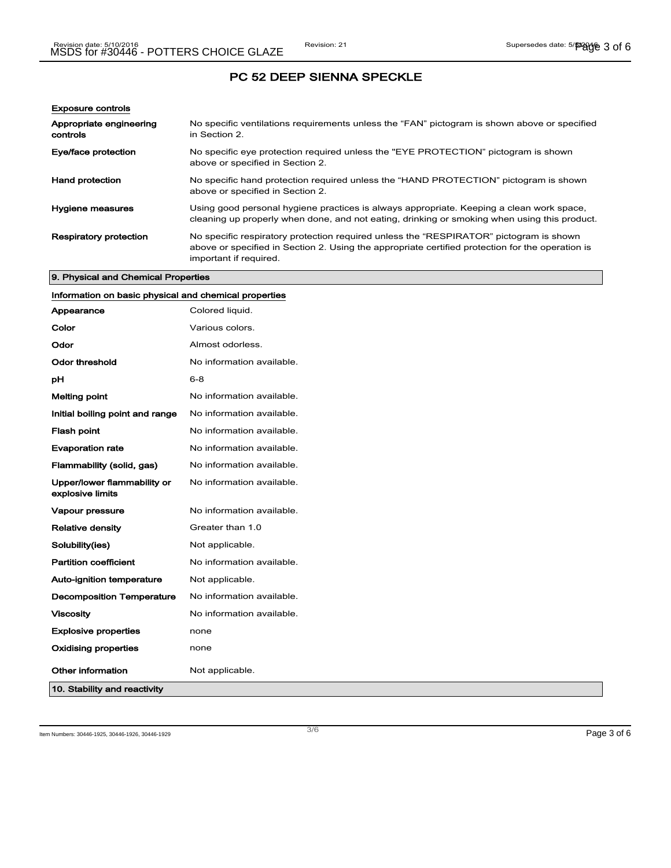| <b>Exposure controls</b>            |                                                                                                                                                                                                                      |
|-------------------------------------|----------------------------------------------------------------------------------------------------------------------------------------------------------------------------------------------------------------------|
| Appropriate engineering<br>controls | No specific ventilations requirements unless the "FAN" pictogram is shown above or specified<br>in Section 2.                                                                                                        |
| Eye/face protection                 | No specific eye protection required unless the "EYE PROTECTION" pictogram is shown<br>above or specified in Section 2.                                                                                               |
| Hand protection                     | No specific hand protection required unless the "HAND PROTECTION" pictogram is shown<br>above or specified in Section 2.                                                                                             |
| Hygiene measures                    | Using good personal hygiene practices is always appropriate. Keeping a clean work space,<br>cleaning up properly when done, and not eating, drinking or smoking when using this product.                             |
| <b>Respiratory protection</b>       | No specific respiratory protection required unless the "RESPIRATOR" pictogram is shown<br>above or specified in Section 2. Using the appropriate certified protection for the operation is<br>important if required. |

# 9. Physical and Chemical Properties

| Information on basic physical and chemical properties |                           |
|-------------------------------------------------------|---------------------------|
| Appearance                                            | Colored liquid.           |
| Color                                                 | Various colors.           |
| Odor                                                  | Almost odorless.          |
| <b>Odor threshold</b>                                 | No information available. |
| pH                                                    | $6 - 8$                   |
| <b>Melting point</b>                                  | No information available. |
| Initial boiling point and range                       | No information available. |
| <b>Flash point</b>                                    | No information available. |
| <b>Evaporation rate</b>                               | No information available. |
| Flammability (solid, gas)                             | No information available. |
| Upper/lower flammability or<br>explosive limits       | No information available. |
| Vapour pressure                                       | No information available. |
| <b>Relative density</b>                               | Greater than 1.0          |
| Solubility(ies)                                       | Not applicable.           |
| <b>Partition coefficient</b>                          | No information available. |
| Auto-ignition temperature                             | Not applicable.           |
| <b>Decomposition Temperature</b>                      | No information available. |
| <b>Viscosity</b>                                      | No information available. |
| <b>Explosive properties</b>                           | none                      |
| <b>Oxidising properties</b>                           | none                      |
| Other information                                     | Not applicable.           |
| 10. Stability and reactivity                          |                           |

Item Numbers: 30446-1925, 30446-1926, 30446-1929 Page 3 of 6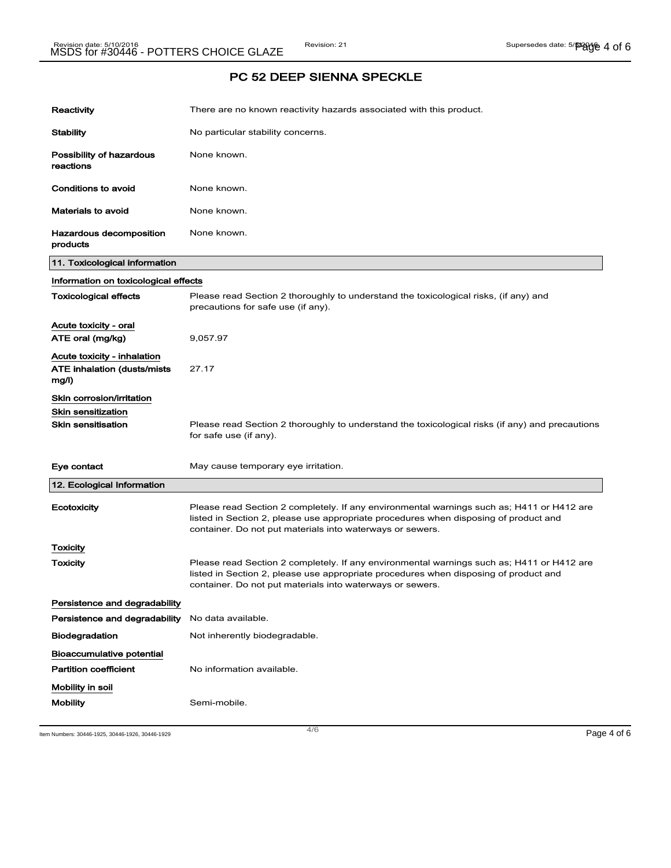| Reactivity                                                                          | There are no known reactivity hazards associated with this product.                                                                                                                                                                            |  |  |
|-------------------------------------------------------------------------------------|------------------------------------------------------------------------------------------------------------------------------------------------------------------------------------------------------------------------------------------------|--|--|
| <b>Stability</b>                                                                    | No particular stability concerns.                                                                                                                                                                                                              |  |  |
| Possibility of hazardous<br>reactions                                               | None known.                                                                                                                                                                                                                                    |  |  |
| <b>Conditions to avoid</b>                                                          | None known.                                                                                                                                                                                                                                    |  |  |
| <b>Materials to avoid</b>                                                           | None known.                                                                                                                                                                                                                                    |  |  |
| Hazardous decomposition<br>products                                                 | None known.                                                                                                                                                                                                                                    |  |  |
| 11. Toxicological information                                                       |                                                                                                                                                                                                                                                |  |  |
| Information on toxicological effects                                                |                                                                                                                                                                                                                                                |  |  |
| <b>Toxicological effects</b>                                                        | Please read Section 2 thoroughly to understand the toxicological risks, (if any) and<br>precautions for safe use (if any).                                                                                                                     |  |  |
| Acute toxicity - oral<br>ATE oral (mg/kg)                                           | 9,057.97                                                                                                                                                                                                                                       |  |  |
| Acute toxicity - inhalation<br><b>ATE inhalation (dusts/mists)</b><br>mg/l)         | 27.17                                                                                                                                                                                                                                          |  |  |
| Skin corrosion/irritation<br><b>Skin sensitization</b><br><b>Skin sensitisation</b> | Please read Section 2 thoroughly to understand the toxicological risks (if any) and precautions<br>for safe use (if any).                                                                                                                      |  |  |
| Eye contact                                                                         | May cause temporary eye irritation.                                                                                                                                                                                                            |  |  |
| 12. Ecological Information                                                          |                                                                                                                                                                                                                                                |  |  |
| Ecotoxicity                                                                         | Please read Section 2 completely. If any environmental warnings such as; H411 or H412 are<br>listed in Section 2, please use appropriate procedures when disposing of product and<br>container. Do not put materials into waterways or sewers. |  |  |
| Toxicity                                                                            |                                                                                                                                                                                                                                                |  |  |
| Toxicity                                                                            | Please read Section 2 completely. If any environmental warnings such as; H411 or H412 are<br>listed in Section 2, please use appropriate procedures when disposing of product and<br>container. Do not put materials into waterways or sewers. |  |  |
| Persistence and degradability                                                       |                                                                                                                                                                                                                                                |  |  |
| Persistence and degradability                                                       | No data available.                                                                                                                                                                                                                             |  |  |
| <b>Biodegradation</b>                                                               | Not inherently biodegradable.                                                                                                                                                                                                                  |  |  |
| <b>Bioaccumulative potential</b><br><b>Partition coefficient</b>                    | No information available.                                                                                                                                                                                                                      |  |  |
| Mobility in soil<br><b>Mobility</b>                                                 | Semi-mobile.                                                                                                                                                                                                                                   |  |  |

Item Numbers: 30446-1925, 30446-1926, 30446-1929 Page 4 of 6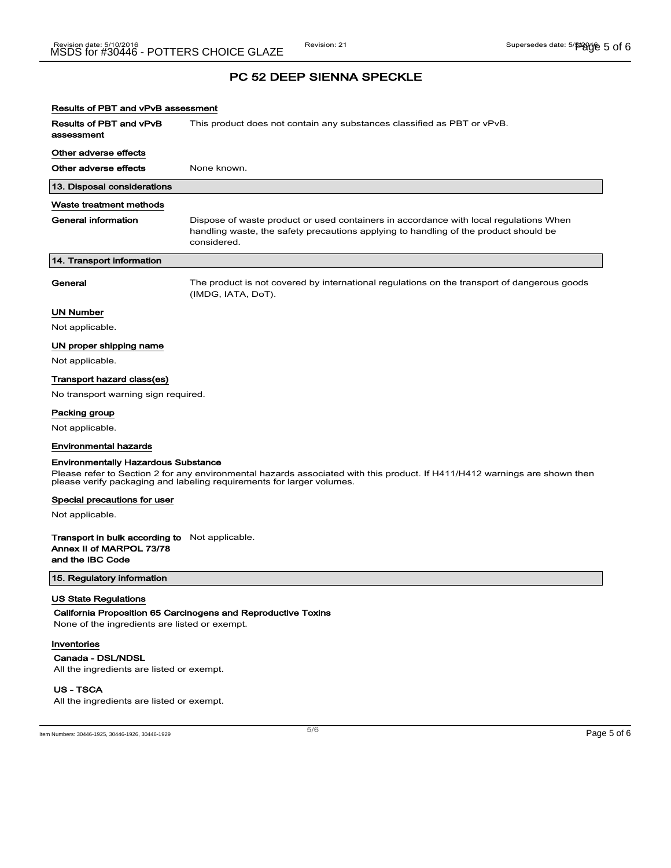# Results of PBT and vPvB assessment

Results of PBT and vPvB assessment This product does not contain any substances classified as PBT or vPvB.

#### Other adverse effects

Other adverse effects None known.

# 13. Disposal considerations

# Waste treatment methods

| General information       | Dispose of waste product or used containers in accordance with local regulations When<br>handling waste, the safety precautions applying to handling of the product should be<br>considered. |
|---------------------------|----------------------------------------------------------------------------------------------------------------------------------------------------------------------------------------------|
| 14. Transport information |                                                                                                                                                                                              |

General The product is not covered by international regulations on the transport of dangerous goods (IMDG, IATA, DoT).

## UN Number

Not applicable.

# UN proper shipping name

Not applicable.

# Transport hazard class(es)

No transport warning sign required.

#### Packing group

Not applicable.

# Environmental hazards

#### Environmentally Hazardous Substance

Please refer to Section 2 for any environmental hazards associated with this product. If H411/H412 warnings are shown then please verify packaging and labeling requirements for larger volumes.

#### Special precautions for user

Not applicable.

# Transport in bulk according to Not applicable. Annex II of MARPOL 73/78 and the IBC Code

15. Regulatory information

# US State Regulations

California Proposition 65 Carcinogens and Reproductive Toxins

None of the ingredients are listed or exempt.

## Inventories

Canada - DSL/NDSL All the ingredients are listed or exempt.

# US - TSCA

All the ingredients are listed or exempt.

Item Numbers: 30446-1925, 30446-1926, 30446-1929 Page 5 of 6